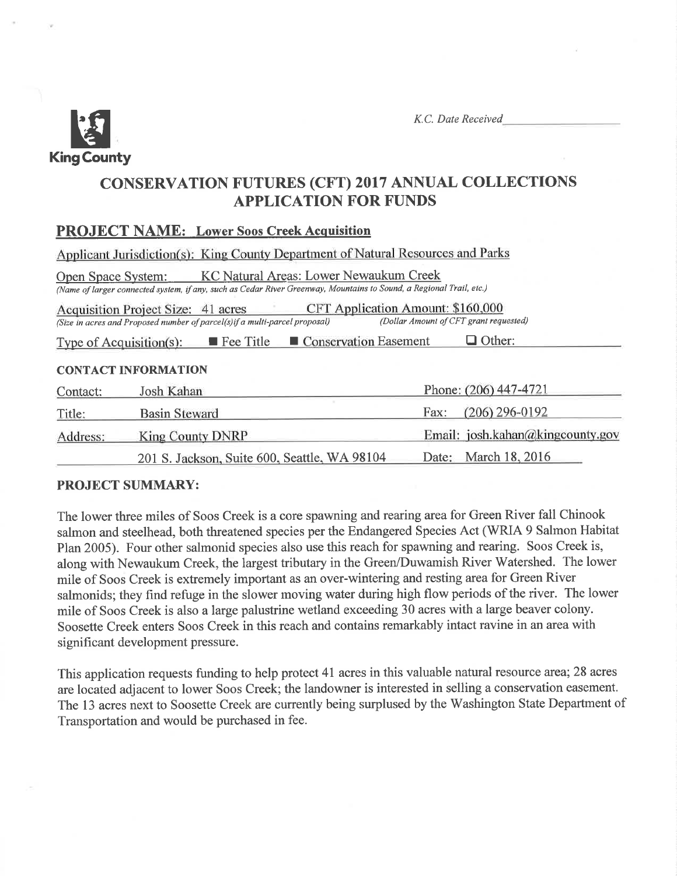

K.C. Date Received

# CONSERVATTON FUTURES (CFT) 2017 ANNUAL COLLECTIONS **APPLICATION FOR FUNDS**

## PROJECT NAME: Lower Soos Creek Acquisition

|                           | Applicant Jurisdiction(s): King County Department of Natural Resources and Parks                                                                              |                                                                             |
|---------------------------|---------------------------------------------------------------------------------------------------------------------------------------------------------------|-----------------------------------------------------------------------------|
| <b>Open Space System:</b> | KC Natural Areas: Lower Newaukum Creek<br>(Name of larger connected system, if any, such as Cedar River Greenway, Mountains to Sound, a Regional Trail, etc.) |                                                                             |
|                           | Acquisition Project Size: 41 acres<br>(Size in acres and Proposed number of parcel(s) if a multi-parcel proposal)                                             | CFT Application Amount: \$160,000<br>(Dollar Amount of CFT grant requested) |
| Type of Acquisition(s):   | Conservation Easement<br><b>Fee Title</b>                                                                                                                     | Other:                                                                      |
|                           | <b>CONTACT INFORMATION</b>                                                                                                                                    |                                                                             |
| Contact:                  | Josh Kahan                                                                                                                                                    | Phone: (206) 447-4721                                                       |
| Title:                    | <b>Basin Steward</b>                                                                                                                                          | $(206)$ 296-0192<br>Fax:                                                    |
| Address:                  | <b>King County DNRP</b>                                                                                                                                       | Email: josh.kahan@kingcounty.gov                                            |
|                           | 201 S. Jackson, Suite 600, Seattle, WA 98104                                                                                                                  | March 18, 2016<br>Date:                                                     |

## PROJECT SUMMARY:

The lower three miles of Soos Creek is a core spawning and rearing area for Green River fall Chinook salmon and steelhead, both threatened species per the Endangered Species Act (WRIA 9 Salmon Habitat Plan 2005). Four other salmonid species also use this reach for spawning and rearing. Soos Creek is, along with Newaukum Creek, the largest tributary in the Green/Duwamish River Watershed. The lower mile of Soos Creek is extremely important as an over-wintering and resting area for Green River salmonids; they find refuge in the slower moving water during high flow periods of the river. The lower mile of Soos Creek is also alarge palustrine wetland exceeding 30 acres with a large beaver colony. Soosette Creek enters Soos Creek in this reach and contains remarkably intact ravine in an area with significant development pressure.

This application requests funding to help protect 41 acres in this valuable natural resource area; 28 acres are located adjacent to lower Soos Creek; the landowner is interested in selling a conservation easement. The 13 acres next to Soosette Creek are currently being surplused by the Washington State Department of Transportation and would be purchased in fee.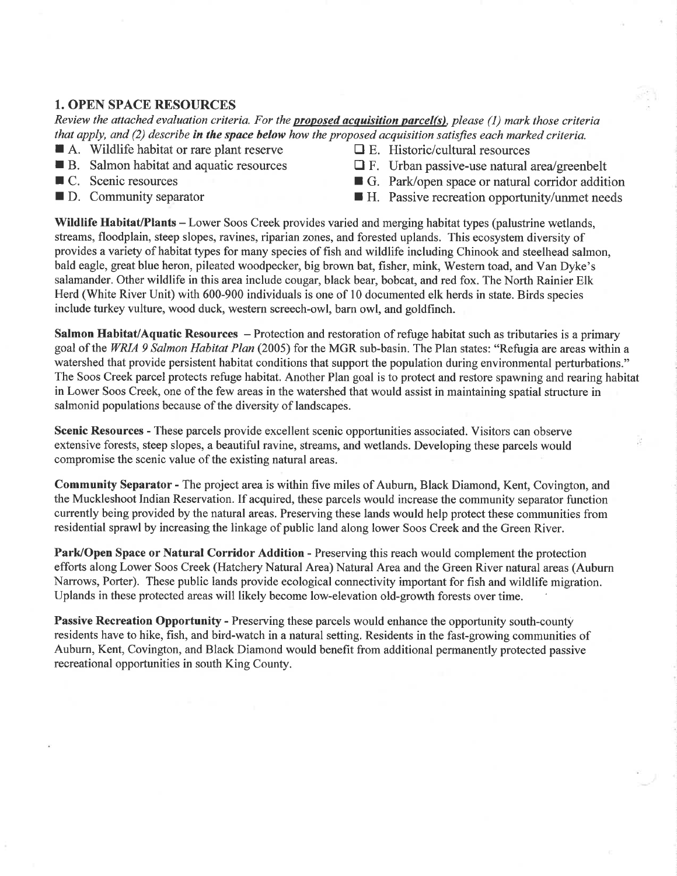## 1. OPEN SPACE RESOURCES

Review the attached evaluation criteria. For the **proposed acquisition parcel(s)**, please (1) mark those criteria that apply, and  $(2)$  describe in the space below how the proposed acquisition satisfies each marked criteria.

- **A.** Wildlife habitat or rare plant reserve  $\Box$  E. Historic/cultural resources IB. Salmon habitat and aquatic resources  $\Box$  F. Urban passive-use natural arealgreenbelt
- 
- 
- 
- 
- 
- C. Scenic resources G. Park/open space or natural corridor addition
- $\blacksquare$  D. Community separator  $\blacksquare$  H. Passive recreation opportunity/unmet needs

Wildlife Habitat/Plants - Lower Soos Creek provides varied and merging habitat types (palustrine wetlands, streams, floodplain, steep slopes, ravines, riparian zones, and forested uplands. This ecosystem diversity of provides a variety of habitat types for many species of fish and wildlife including Chinook and steelhead salmon, bald eagle, great blue heron, pileated woodpecker, big brown bat, fisher, mink, Western toad, and Van Dyke's salamander. Other wildlife in this area include cougar, black bear, bobcat, and red fox. The North Rainier Elk Herd (White River Unit) with 600-900 individuals is one of l0 documented elk herds in state. Birds species include turkey vulture, wood duck, western screech-owl, barn owl, and goldfinch.

Salmon Habitat/Aquatic Resources – Protection and restoration of refuge habitat such as tributaries is a primary goal of the WRIA 9 Salmon Habitat Plan (2005) for the MGR sub-basin. The Plan states: "Refugia are areas within a watershed that provide persistent habitat conditions that support the population during environmental perturbations." The Soos Creek parcel protects refuge habitat. Another Plan goal is to protect and restore spawning and rearing habitat in Lower Soos Creek, one of the few areas in the watershed that would assist in maintaining spatial structure in salmonid populations because of the diversity of landscapes.

Scenic Resources - These parcels provide excellent scenic opportunities associated. Visitors can observe extensive forests, steep slopes, a beautiful ravine, streams, and wetlands. Developing these parcels would compromise the scenic value of the existing natural areas.

Community Separator - The project area is within five miles of Auburn, Black Diamond, Kent, Covington, and the Muckleshoot Indian Reservation. If acquired, these parcels would increase the community separator function currently being provided by the natural areas. Preserving these lands would help protect these communities from residential sprawl by increasing the linkage of public land along lower Soos Creek and the Green River.

Park/Open Space or Natural Corridor Addition - Preserving this reach would complement the protection effofts along Lower Soos Creek (Hatchery Natural Area) Natural Area and the Green River natural areas (Auburn Narrows, Porter). These public lands provide ecological connectivity important for fish and wildlife migration. Uplands in these protected areas will likely become low-elevation old-growth forests over time.

Passive Recreation Opportunity - Preserving these parcels would enhance the opportunity south-county residents have to hike, fish, and bird-watch in a natural setting. Residents in the fast-growing communities of Auburn, Kent, Covington, and Black Diamond would benefit from additional permanently protected passive recreational opportunities in south King County.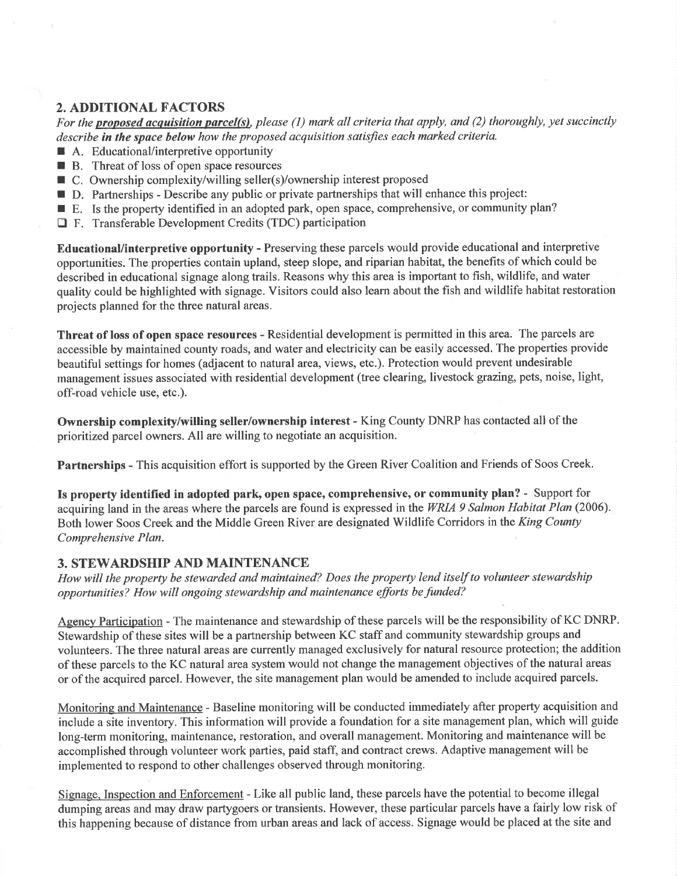# 2. ADDITIONAL FACTORS

For the **proposed acquisition parcel(s)**, please (1) mark all criteria that apply, and (2) thoroughly, yet succinctly describe in the space below how the proposed acquisition satisfies each marked criteria.

- A. Educational/interpretive opportunity
- $\blacksquare$  B. Threat of loss of open space resources
- $\blacksquare$  C. Ownership complexity/willing seller(s)/ownership interest proposed
- I D. Partnerships Describe any public or private partnerships that will enhance this project:
- E. Is the property identified in an adopted park, open space, comprehensive, or community plan?
- $\Box$  F. Transferable Development Credits (TDC) participation

Educational/interpretive opportunity - Preserving these parcels would provide educational and interpretive opportunities. The properties contain upland, steep slope, and riparian habitat, the benefits of which could be described in educational signage along trails. Reasons why this area is important to fish, wildlife, and water quality could be highlighted with signage. Visitors could also learn about the fish and wildlife habitat restoration projects planned for the three natural areas.

Threat of loss of open space resources - Residential development is permitted in this area. The parcels are accessible by maintained county roads, and water and electricity can be easily accessed. The properties provide beautiful settings for homes (adjacent to natural area, views, etc.). Protection would prevent undesirable management issues associated with residential development (tree clearing, livestock grazing, pets, noise, light, off-road vehicle use, etc.).

Ownership complexity/willing seller/ownership interest - King County DNRP has contacted all of the prioritized parcel owners. All are willing to negotiate an acquisition.

Partnerships - This acquisition effort is supported by the Green River Coalition and Friends of Soos Creek.

Is property identified in adopted park, open space, comprehensive, or community plan? - Support for acquiring land in the areas where the parcels are found is expressed in the WRIA 9 Salmon Habitat Plan (2006). Both lower Soos Creek and the Middle Green River are designated Wildlife Corridors in the King County Comprehensive Plan.

### 3. STEWARDSHIP AND MAINTENANCE

How will the property be stewarded and maintained? Does the property lend itself to volunteer stewardship opportunities? How will ongoing stewardship and maintenance efforts be funded?

Agency Participation - The maintenance and stewardship of these parcels will be the responsibility of KC DNRP. Stewardship of these sites will be a partnership between KC staff and community stewardship groups and volunteers. The three natural areas are currently managed exclusively for natural resource protection; the addition of these parcels to the KC natural area system would not change the management objectives of the natural areas or of the acquired parcel. However, the site management plan would be amended to include acquired parcels.

Monitoring and Maintenance - Baseline monitoring will be conducted immediately after property acquisition and include a site inventory. This information will provide a foundation for a site management plan, which will guide long-term monitoring, maintenance, restoration, and overall management. Monitoring and maintenance will be accomplished through volunteer work parties, paid staff, and contract crews. Adaptive management will be implemented to respond to other challenges observed through monitoring.

Signage. Inspection and Enforcement - Like all public land, these parcels have the potential to become illegal dumping areas and may draw partygoers or transients. However, these particular parcels have a fairly low risk of this happening because of distance from urban areas and lack of access. Signage would be placed at the site and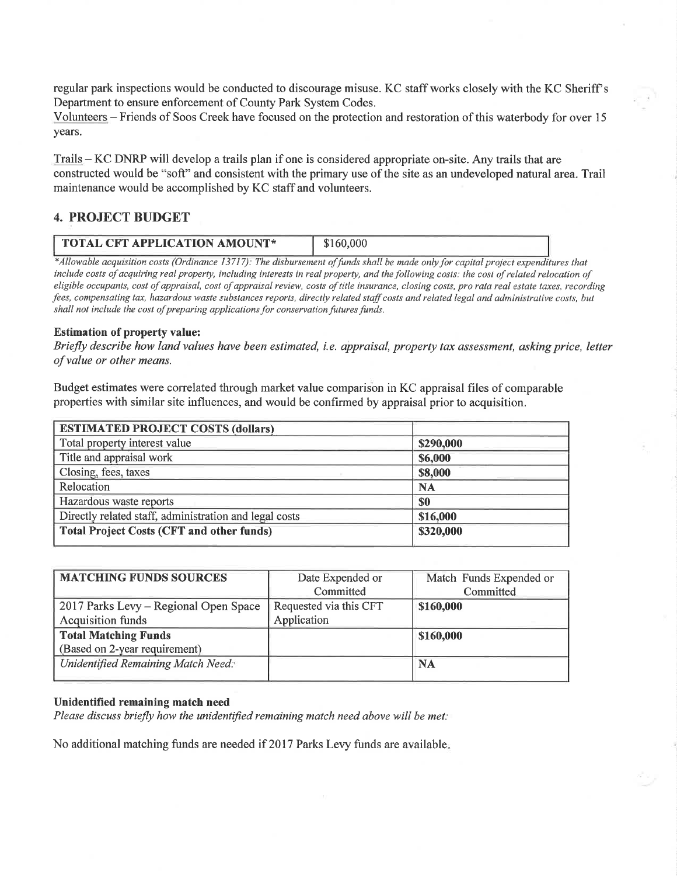regular park inspections would be conducted to discourage misuse. KC staff works closely with the KC Sheriff's Department to ensure enforcement of County Park System Codes.

Volunteers - Friends of Soos Creek have focused on the protection and restoration of this waterbody for over <sup>15</sup> years.

Trails - KC DNRP will develop a trails plan if one is considered appropriate on-site. Any trails that are constructed would be "soft" and consistent with the primary use of the site as an undeveloped natural area. Trail maintenance would be accomplished by KC staff and volunteers.

#### 4. PROJECT BUDGET

| <b>TOTAL CFT APPLICATION AMOUNT*</b> |  |
|--------------------------------------|--|

\*Allowable acquisition costs (Ordinance 13717): The disbursement of funds shall be made only for capital project expenditures that include costs of acquiring real property, including interests in real property, and the following costs: the cost of related relocation of eligible occupants, cost of appraisal, cost of appraisal review, costs of title insurance, closing costs, pro rata real estate taxes, recording fees, compensating tax, hazardous waste substances reports, directly related staff costs and related legal and administrative costs, but shall not include the cost of preparing applications for conservation futures funds.

#### Estimation of property value:

Briefly describe how land values have been estimated, i.e. appraisal, property tax assessment, asking price, letter of value or other means.

Budget estimates were correlated through market value comparison in KC appraisal files of comparable properties with similar site influences, and would be confirmed by appraisal prior to acquisition.

| <b>ESTIMATED PROJECT COSTS (dollars)</b>               |           |  |
|--------------------------------------------------------|-----------|--|
| Total property interest value                          | \$290,000 |  |
| Title and appraisal work                               | \$6,000   |  |
| Closing, fees, taxes                                   | \$8,000   |  |
| Relocation                                             | <b>NA</b> |  |
| Hazardous waste reports                                | \$0       |  |
| Directly related staff, administration and legal costs | \$16,000  |  |
| <b>Total Project Costs (CFT and other funds)</b>       | \$320,000 |  |

| <b>MATCHING FUNDS SOURCES</b>             | Date Expended or       | Match Funds Expended or |
|-------------------------------------------|------------------------|-------------------------|
|                                           | Committed              | Committed               |
| 2017 Parks Levy – Regional Open Space     | Requested via this CFT | \$160,000               |
| <b>Acquisition funds</b>                  | Application            |                         |
| <b>Total Matching Funds</b>               |                        | \$160,000               |
| (Based on 2-year requirement)             |                        |                         |
| <b>Unidentified Remaining Match Need:</b> |                        | <b>NA</b>               |
|                                           |                        |                         |

#### Unidentified remaining match need

Please discuss briefly how the unidentified remaining match need above will be met:

No additional matching funds are needed if 2017 Parks Levy funds are available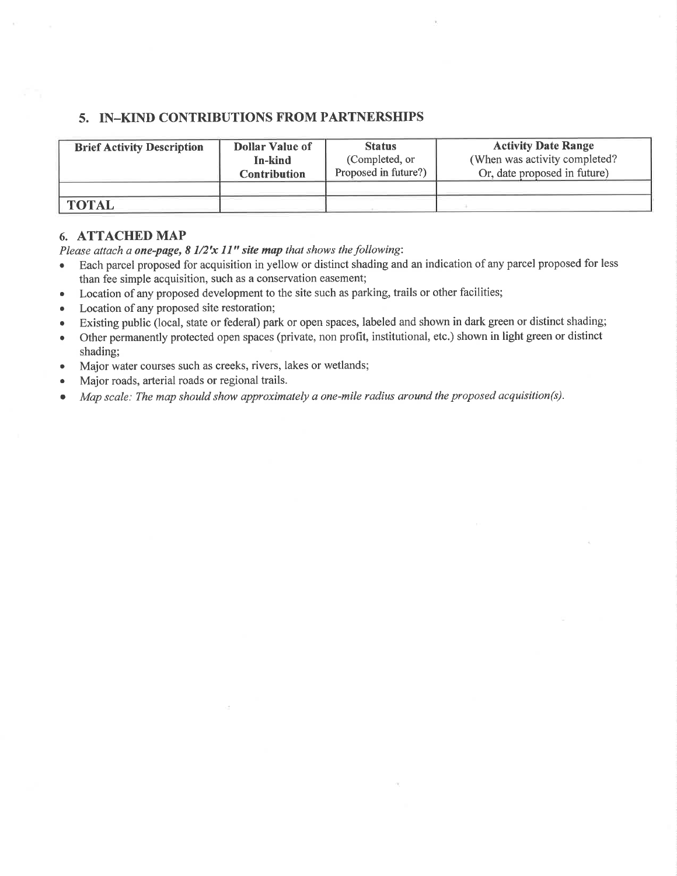## 5. IN\_KIND CONTRIBUTIONS FROM PARTNERSHIPS

| <b>Brief Activity Description</b> | Dollar Value of     | <b>Status</b>        | <b>Activity Date Range</b>     |
|-----------------------------------|---------------------|----------------------|--------------------------------|
|                                   | In-kind             | (Completed, or       | (When was activity completed?) |
|                                   | <b>Contribution</b> | Proposed in future?) | Or, date proposed in future)   |
| <b>TOTAL</b>                      |                     |                      |                                |

#### 6. ATTACHED MAP

Please attach a one-page,  $8\frac{1}{2}x\frac{11}{1}$  site map that shows the following:

- Each parcel proposed for acquisition in yellow or distinct shading and an indication of any parcel proposed for less than fee simple acquisition, such as a conservation easement;
- o Location of any proposed development to the site such as parking, trails or other facilities;
- Location of any proposed site restoration;
- o Existing public (local, state or federal) park or open spaces, labeled and shown in dark green or distinct shading;
- o Other permanently protected open spaces (private, non profit, institutional, etc.) shown in light green or distinct shading;
- . Major water courses such as creeks, rivers, lakes or wetlands;
- . Major roads, arterial roads or regional trails.
- . Map scale; The map should show approximately a one-mile radius around the proposed acquisition(s).